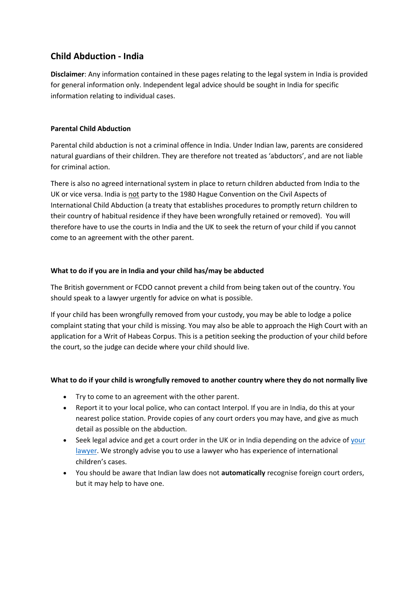# **Child Abduction - India**

**Disclaimer**: Any information contained in these pages relating to the legal system in India is provided for general information only. Independent legal advice should be sought in India for specific information relating to individual cases.

# **Parental Child Abduction**

Parental child abduction is not a criminal offence in India. Under Indian law, parents are considered natural guardians of their children. They are therefore not treated as 'abductors', and are not liable for criminal action.

There is also no agreed international system in place to return children abducted from India to the UK or vice versa. India is not party to the 1980 Hague Convention on the Civil Aspects of International Child Abduction (a treaty that establishes procedures to promptly return children to their country of habitual residence if they have been wrongfully retained or removed). You will therefore have to use the courts in India and the UK to seek the return of your child if you cannot come to an agreement with the other parent.

# **What to do if you are in India and your child has/may be abducted**

The British government or FCDO cannot prevent a child from being taken out of the country. You should speak to a lawyer urgently for advice on what is possible.

If your child has been wrongfully removed from your custody, you may be able to lodge a police complaint stating that your child is missing. You may also be able to approach the High Court with an application for a Writ of Habeas Corpus. This is a petition seeking the production of your child before the court, so the judge can decide where your child should live.

# **What to do if your child is wrongfully removed to another country where they do not normally live**

- Try to come to an agreement with the other parent.
- Report it to your local police, who can contact Interpol. If you are in India, do this at your nearest police station. Provide copies of any court orders you may have, and give as much detail as possible on the abduction.
- Seek legal advice and get a court order in the UK or in India depending on the advice o[f your](https://www.gov.uk/government/publications/india-list-of-lawyers) [lawyer.](https://www.gov.uk/government/publications/india-list-of-lawyers) We strongly advise you to use a lawyer who has experience of international children's cases.
- You should be aware that Indian law does not **automatically** recognise foreign court orders, but it may help to have one.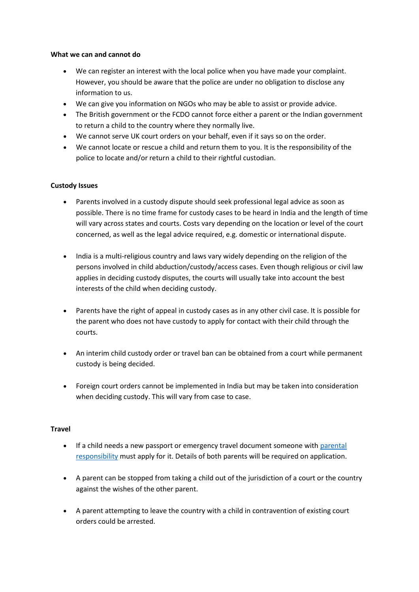### **What we can and cannot do**

- We can register an interest with the local police when you have made your complaint. However, you should be aware that the police are under no obligation to disclose any information to us.
- We can give you information on NGOs who may be able to assist or provide advice.
- The British government or the FCDO cannot force either a parent or the Indian government to return a child to the country where they normally live.
- We cannot serve UK court orders on your behalf, even if it says so on the order.
- We cannot locate or rescue a child and return them to you. It is the responsibility of the police to locate and/or return a child to their rightful custodian.

## **Custody Issues**

- Parents involved in a custody dispute should seek professional legal advice as soon as possible. There is no time frame for custody cases to be heard in India and the length of time will vary across states and courts. Costs vary depending on the location or level of the court concerned, as well as the legal advice required, e.g. domestic or international dispute.
- India is a multi-religious country and laws vary widely depending on the religion of the persons involved in child abduction/custody/access cases. Even though religious or civil law applies in deciding custody disputes, the courts will usually take into account the best interests of the child when deciding custody.
- Parents have the right of appeal in custody cases as in any other civil case. It is possible for the parent who does not have custody to apply for contact with their child through the courts.
- An interim child custody order or travel ban can be obtained from a court while permanent custody is being decided.
- Foreign court orders cannot be implemented in India but may be taken into consideration when deciding custody. This will vary from case to case.

#### **Travel**

- If a child needs a new passport or emergency travel document someone with parental [responsibility](https://www.gov.uk/parental-rights-responsibilities) must apply for it. Details of both parents will be required on application.
- A parent can be stopped from taking a child out of the jurisdiction of a court or the country against the wishes of the other parent.
- A parent attempting to leave the country with a child in contravention of existing court orders could be arrested.